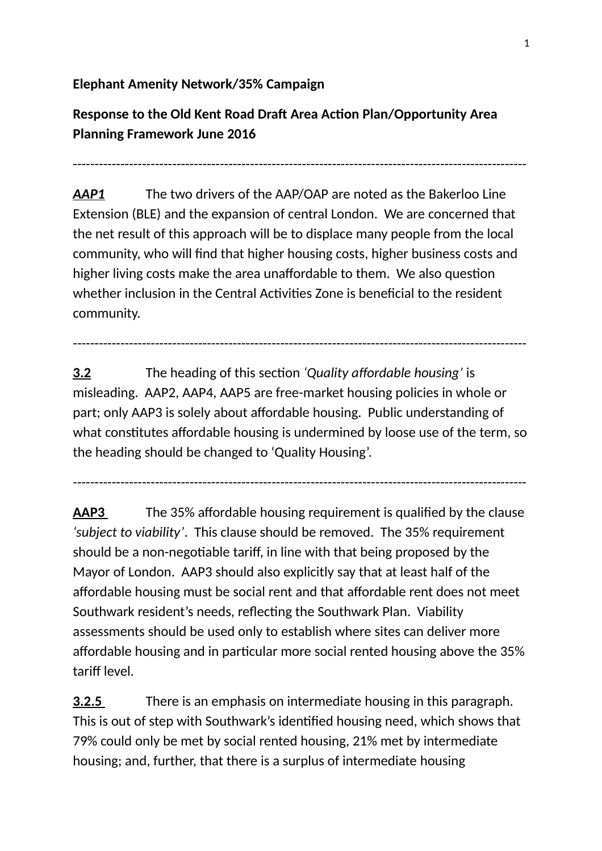## **Elephant Amenity Network/35% Campaign**

**Response to the Old Kent Road Draft Area Action Plan/Opportunity Area Planning Framework June 2016**

*AAP1* The two drivers of the AAP/OAP are noted as the Bakerloo Line Extension (BLE) and the expansion of central London. We are concerned that the net result of this approach will be to displace many people from the local community, who will find that higher housing costs, higher business costs and higher living costs make the area unaffordable to them. We also question whether inclusion in the Central Activities Zone is beneficial to the resident community.

---------------------------------------------------------------------------------------------------------

**3.2** The heading of this section *'Quality affordable housing'* is misleading. AAP2, AAP4, AAP5 are free-market housing policies in whole or part; only AAP3 is solely about affordable housing. Public understanding of what constitutes affordable housing is undermined by loose use of the term, so the heading should be changed to 'Quality Housing'.

---------------------------------------------------------------------------------------------------------

---------------------------------------------------------------------------------------------------------

 **AAP3** The 35% affordable housing requirement is qualified by the clause *'subject to viability'*. This clause should be removed. The 35% requirement should be a non-negotiable tariff, in line with that being proposed by the Mayor of London. AAP3 should also explicitly say that at least half of the affordable housing must be social rent and that affordable rent does not meet Southwark resident's needs, reflecting the Southwark Plan. Viability assessments should be used only to establish where sites can deliver more affordable housing and in particular more social rented housing above the 35% tariff level.

**3.2.5** There is an emphasis on intermediate housing in this paragraph. This is out of step with Southwark's identified housing need, which shows that 79% could only be met by social rented housing, 21% met by intermediate housing; and, further, that there is a surplus of intermediate housing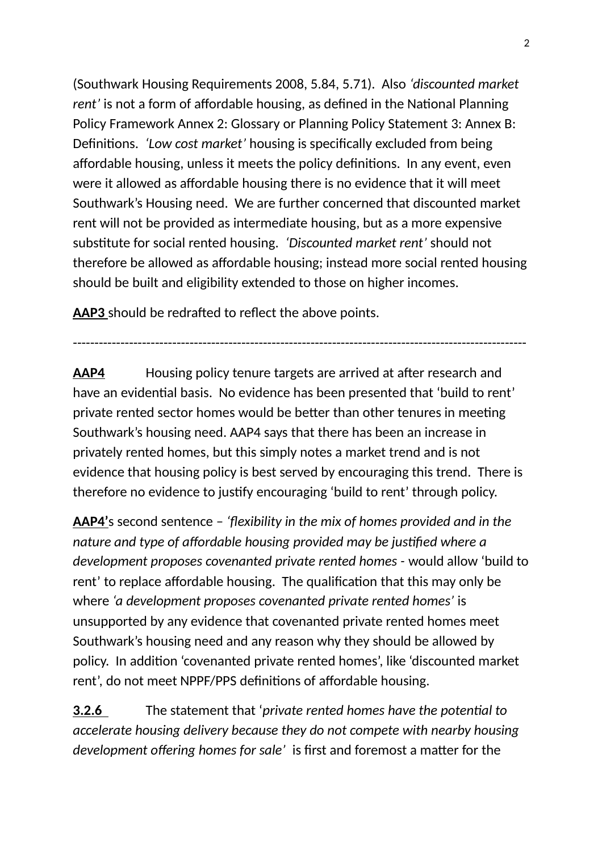(Southwark Housing Requirements 2008, 5.84, 5.71). Also *'discounted market rent'* is not a form of affordable housing, as defined in the National Planning Policy Framework Annex 2: Glossary or Planning Policy Statement 3: Annex B: Definitions. *'Low cost market'* housing is specifically excluded from being affordable housing, unless it meets the policy definitions. In any event, even were it allowed as affordable housing there is no evidence that it will meet Southwark's Housing need. We are further concerned that discounted market rent will not be provided as intermediate housing, but as a more expensive substitute for social rented housing. *'Discounted market rent'* should not therefore be allowed as affordable housing; instead more social rented housing should be built and eligibility extended to those on higher incomes.

**AAP3** should be redrafted to reflect the above points.

**AAP4** Housing policy tenure targets are arrived at after research and have an evidential basis. No evidence has been presented that 'build to rent' private rented sector homes would be better than other tenures in meeting Southwark's housing need. AAP4 says that there has been an increase in privately rented homes, but this simply notes a market trend and is not evidence that housing policy is best served by encouraging this trend. There is therefore no evidence to justify encouraging 'build to rent' through policy.

---------------------------------------------------------------------------------------------------------

**AAP4'**s second sentence – *'flexibility in the mix of homes provided and in the nature and type of affordable housing provided may be justified where a development proposes covenanted private rented homes -* would allow 'build to rent' to replace affordable housing. The qualification that this may only be where *'a development proposes covenanted private rented homes'* is unsupported by any evidence that covenanted private rented homes meet Southwark's housing need and any reason why they should be allowed by policy. In addition 'covenanted private rented homes', like 'discounted market rent', do not meet NPPF/PPS definitions of affordable housing.

 **3.2.6**The statement that '*private rented homes have the potential to accelerate housing delivery because they do not compete with nearby housing development offering homes for sale'* is first and foremost a matter for the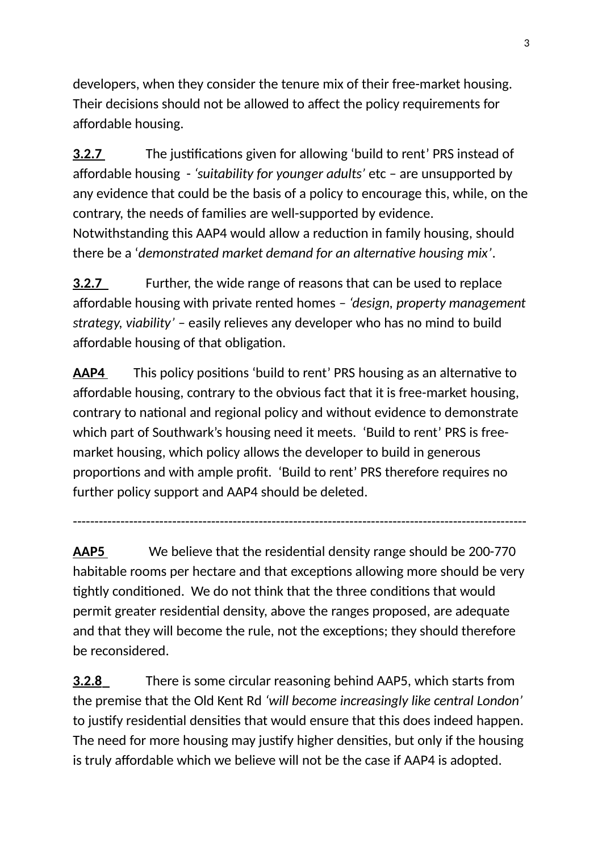developers, when they consider the tenure mix of their free-market housing. Their decisions should not be allowed to affect the policy requirements for affordable housing.

**3.2.7** The justifications given for allowing 'build to rent' PRS instead of affordable housing - *'suitability for younger adults'* etc – are unsupported by any evidence that could be the basis of a policy to encourage this, while, on the contrary, the needs of families are well-supported by evidence. Notwithstanding this AAP4 would allow a reduction in family housing, should there be a '*demonstrated market demand for an alternative housing mix'*.

**3.2.7** Further, the wide range of reasons that can be used to replace affordable housing with private rented homes *– 'design, property management strategy, viability'* – easily relieves any developer who has no mind to build affordable housing of that obligation.

**AAP4** This policy positions 'build to rent' PRS housing as an alternative to affordable housing, contrary to the obvious fact that it is free-market housing, contrary to national and regional policy and without evidence to demonstrate which part of Southwark's housing need it meets. 'Build to rent' PRS is freemarket housing, which policy allows the developer to build in generous proportions and with ample profit. 'Build to rent' PRS therefore requires no further policy support and AAP4 should be deleted.

**AAP5** We believe that the residential density range should be 200-770 habitable rooms per hectare and that exceptions allowing more should be very tightly conditioned. We do not think that the three conditions that would permit greater residential density, above the ranges proposed, are adequate and that they will become the rule, not the exceptions; they should therefore be reconsidered.

---------------------------------------------------------------------------------------------------------

 **3.2.8** There is some circular reasoning behind AAP5, which starts from the premise that the Old Kent Rd *'will become increasingly like central London'* to justify residential densities that would ensure that this does indeed happen. The need for more housing may justify higher densities, but only if the housing is truly affordable which we believe will not be the case if AAP4 is adopted.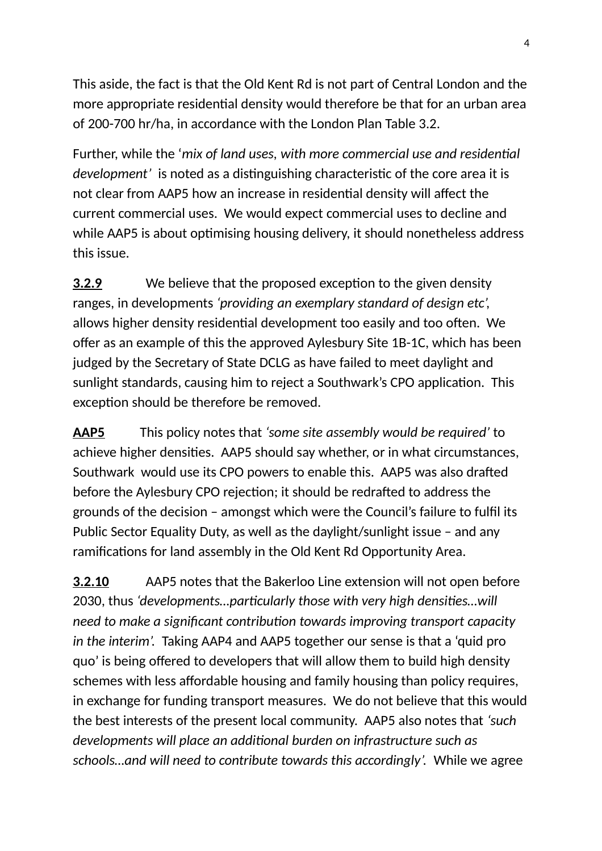This aside, the fact is that the Old Kent Rd is not part of Central London and the more appropriate residential density would therefore be that for an urban area of 200-700 hr/ha, in accordance with the London Plan Table 3.2.

Further, while the '*mix of land uses, with more commercial use and residential development'* is noted as a distinguishing characteristic of the core area it is not clear from AAP5 how an increase in residential density will affect the current commercial uses. We would expect commercial uses to decline and while AAP5 is about optimising housing delivery, it should nonetheless address this issue.

**3.2.9** We believe that the proposed exception to the given density ranges, in developments *'providing an exemplary standard of design etc',*  allows higher density residential development too easily and too often. We offer as an example of this the approved Aylesbury Site 1B-1C, which has been judged by the Secretary of State DCLG as have failed to meet daylight and sunlight standards, causing him to reject a Southwark's CPO application. This exception should be therefore be removed.

**AAP5** This policy notes that *'some site assembly would be required'* to achieve higher densities. AAP5 should say whether, or in what circumstances, Southwark would use its CPO powers to enable this. AAP5 was also drafted before the Aylesbury CPO rejection; it should be redrafted to address the grounds of the decision – amongst which were the Council's failure to fulfil its Public Sector Equality Duty, as well as the daylight/sunlight issue – and any ramifications for land assembly in the Old Kent Rd Opportunity Area.

 **3.2.10** AAP5 notes that the Bakerloo Line extension will not open before 2030, thus *'developments…particularly those with very high densities…will need to make a significant contribution towards improving transport capacity in the interim'.* Taking AAP4 and AAP5 together our sense is that a 'quid pro quo' is being offered to developers that will allow them to build high density schemes with less affordable housing and family housing than policy requires, in exchange for funding transport measures. We do not believe that this would the best interests of the present local community. AAP5 also notes that *'such developments will place an additional burden on infrastructure such as schools…and will need to contribute towards this accordingly'.* While we agree